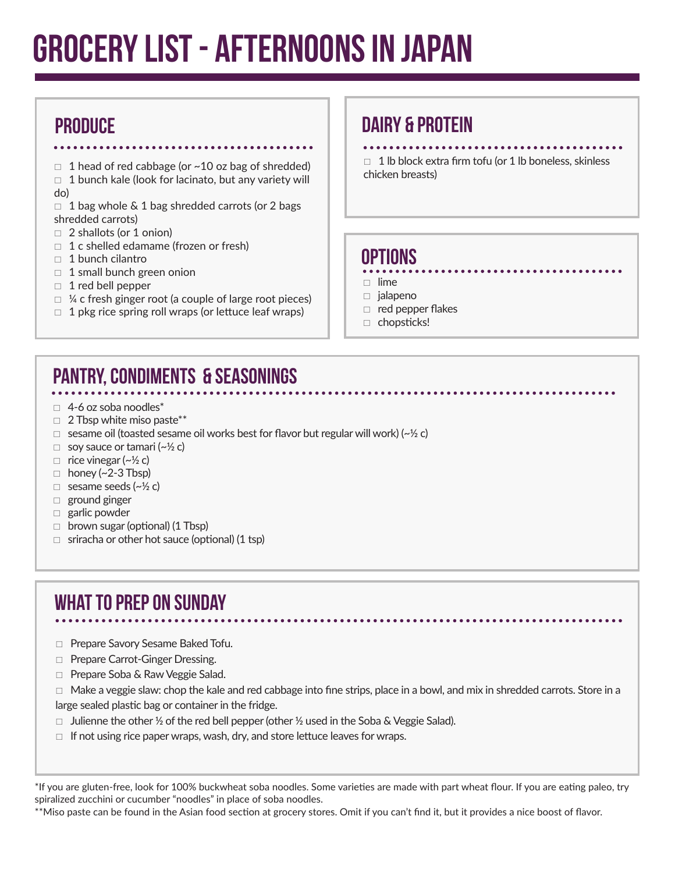# Grocery List - AFTERNOONS IN JAPAN

### PRODUCE

 $\Box$  1 head of red cabbage (or ~10 oz bag of shredded)

- $\Box$  1 bunch kale (look for lacinato, but any variety will do)
- $\Box$  1 bag whole & 1 bag shredded carrots (or 2 bags shredded carrots)
- $\Box$  2 shallots (or 1 onion)
- $\Box$  1 c shelled edamame (frozen or fresh)
- $\Box$  1 bunch cilantro
- $\Box$  1 small bunch green onion
- $\Box$  1 red bell pepper
- $\Box$  ¼ c fresh ginger root (a couple of large root pieces)
- $\Box$  1 pkg rice spring roll wraps (or lettuce leaf wraps)

#### DAIRY & PROTEIN

 $\Box$  1 lb block extra firm tofu (or 1 lb boneless, skinless chicken breasts)

#### Options

- $\Box$ lime
- $\Box$  jalapeno
- $\Box$  red pepper flakes
- □ chopsticks!

## PANTRY, Condiments & SEASONINGS

- $\Box$  4-6 oz soba noodles\*
- $\Box$  2 Tbsp white miso paste\*\*
- $\Box$  sesame oil (toasted sesame oil works best for flavor but regular will work) ( $\sim$ ½ c)
- $\Box$  soy sauce or tamari (~ $\frac{1}{2}$  c)
- $\Box$  rice vinegar (~ $\frac{1}{2}$  c)
- $\Box$  honey (~2-3 Tbsp)
- $\Box$  sesame seeds ( $\sim$ ½ c)
- $\Box$  ground ginger
- $\Box$  garlic powder
- $\Box$  brown sugar (optional) (1 Tbsp)
- $\Box$  sriracha or other hot sauce (optional) (1 tsp)

## What to prep on Sunday

- □ Prepare Savory Sesame Baked Tofu.
- □ Prepare Carrot-Ginger Dressing.
- □ Prepare Soba & Raw Veggie Salad.

 $\Box$  Make a veggie slaw: chop the kale and red cabbage into fine strips, place in a bowl, and mix in shredded carrots. Store in a large sealed plastic bag or container in the fridge.

- $\Box$  Julienne the other 1/2 of the red bell pepper (other 1/2 used in the Soba & Veggie Salad).
- $\Box$  If not using rice paper wraps, wash, dry, and store lettuce leaves for wraps.

\*If you are gluten-free, look for 100% buckwheat soba noodles. Some varieties are made with part wheat flour. If you are eating paleo, try spiralized zucchini or cucumber "noodles" in place of soba noodles.

\*\*Miso paste can be found in the Asian food section at grocery stores. Omit if you can't find it, but it provides a nice boost of flavor.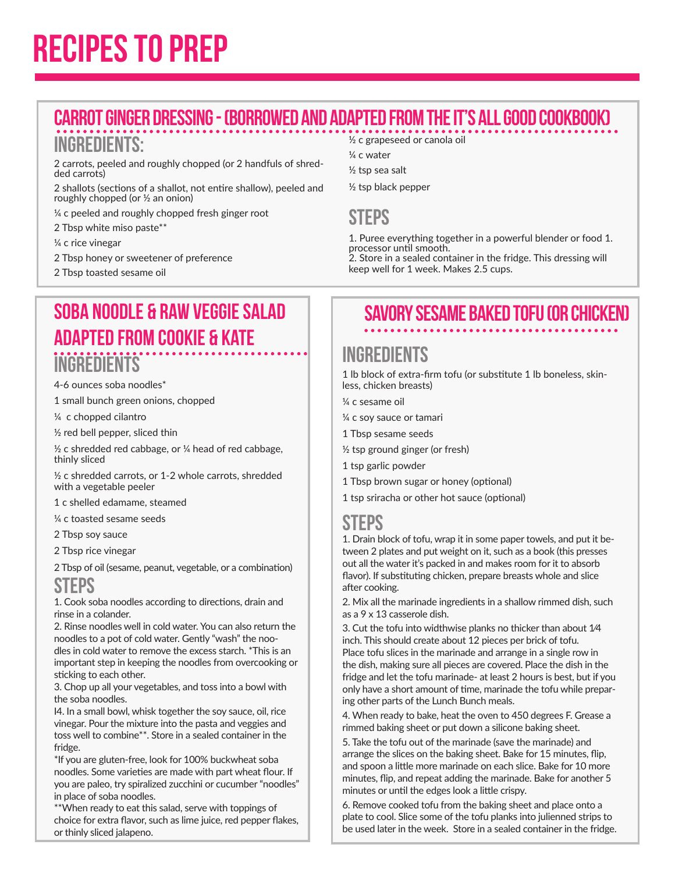# Recipes to Prep

# Carrot Ginger Dressing - (Borrowed and adapted from the It's All Good cookbook)

#### Ingredients:

2 carrots, peeled and roughly chopped (or 2 handfuls of shredded carrots)

2 shallots (sections of a shallot, not entire shallow), peeled and roughly chopped (or ½ an onion)

¼ c peeled and roughly chopped fresh ginger root

- 2 Tbsp white miso paste\*\*
- ¼ c rice vinegar
- 2 Tbsp honey or sweetener of preference
- 2 Tbsp toasted sesame oil

## Soba Noodle & Raw Veggie Salad Adapted from Cookie & Kate **INGREDIENTS**

4-6 ounces soba noodles\*

1 small bunch green onions, chopped

¼ c chopped cilantro

½ red bell pepper, sliced thin

 $\frac{1}{2}$  c shredded red cabbage, or  $\frac{1}{4}$  head of red cabbage, thinly sliced

½ c shredded carrots, or 1-2 whole carrots, shredded with a vegetable peeler

1 c shelled edamame, steamed

¼ c toasted sesame seeds

2 Tbsp soy sauce

2 Tbsp rice vinegar

2 Tbsp of oil (sesame, peanut, vegetable, or a combination)

## **STEPS**

1. Cook soba noodles according to directions, drain and rinse in a colander.

2. Rinse noodles well in cold water. You can also return the noodles to a pot of cold water. Gently "wash" the noodles in cold water to remove the excess starch. \*This is an important step in keeping the noodles from overcooking or sticking to each other.

3. Chop up all your vegetables, and toss into a bowl with the soba noodles.

I4. In a small bowl, whisk together the soy sauce, oil, rice vinegar. Pour the mixture into the pasta and veggies and toss well to combine\*\*. Store in a sealed container in the fridge.

\*If you are gluten-free, look for 100% buckwheat soba noodles. Some varieties are made with part wheat flour. If you are paleo, try spiralized zucchini or cucumber "noodles" in place of soba noodles.

\*\*When ready to eat this salad, serve with toppings of choice for extra flavor, such as lime juice, red pepper flakes, or thinly sliced jalapeno.

#### ½ c grapeseed or canola oil

¼ c water

- ½ tsp sea salt
- ½ tsp black pepper

#### **STEPS**

1. Puree everything together in a powerful blender or food 1. processor until smooth. 2. Store in a sealed container in the fridge. This dressing will keep well for 1 week. Makes 2.5 cups.

## Savory Sesame Baked Tofu (or chicken)

## **INGREDIENTS**

1 lb block of extra-firm tofu (or substitute 1 lb boneless, skinless, chicken breasts)

- ¼ c sesame oil
- ¼ c soy sauce or tamari
- 1 Tbsp sesame seeds
- ½ tsp ground ginger (or fresh)
- 1 tsp garlic powder
- 1 Tbsp brown sugar or honey (optional)
- 1 tsp sriracha or other hot sauce (optional)

#### **STEPS**

1. Drain block of tofu, wrap it in some paper towels, and put it between 2 plates and put weight on it, such as a book (this presses out all the water it's packed in and makes room for it to absorb flavor). If substituting chicken, prepare breasts whole and slice after cooking.

2. Mix all the marinade ingredients in a shallow rimmed dish, such as a 9 x 13 casserole dish.

3. Cut the tofu into widthwise planks no thicker than about 1⁄4 inch. This should create about 12 pieces per brick of tofu. Place tofu slices in the marinade and arrange in a single row in the dish, making sure all pieces are covered. Place the dish in the fridge and let the tofu marinade- at least 2 hours is best, but if you only have a short amount of time, marinade the tofu while preparing other parts of the Lunch Bunch meals.

4. When ready to bake, heat the oven to 450 degrees F. Grease a rimmed baking sheet or put down a silicone baking sheet.

5. Take the tofu out of the marinade (save the marinade) and arrange the slices on the baking sheet. Bake for 15 minutes, flip, and spoon a little more marinade on each slice. Bake for 10 more minutes, flip, and repeat adding the marinade. Bake for another 5 minutes or until the edges look a little crispy.

6. Remove cooked tofu from the baking sheet and place onto a plate to cool. Slice some of the tofu planks into julienned strips to be used later in the week. Store in a sealed container in the fridge.